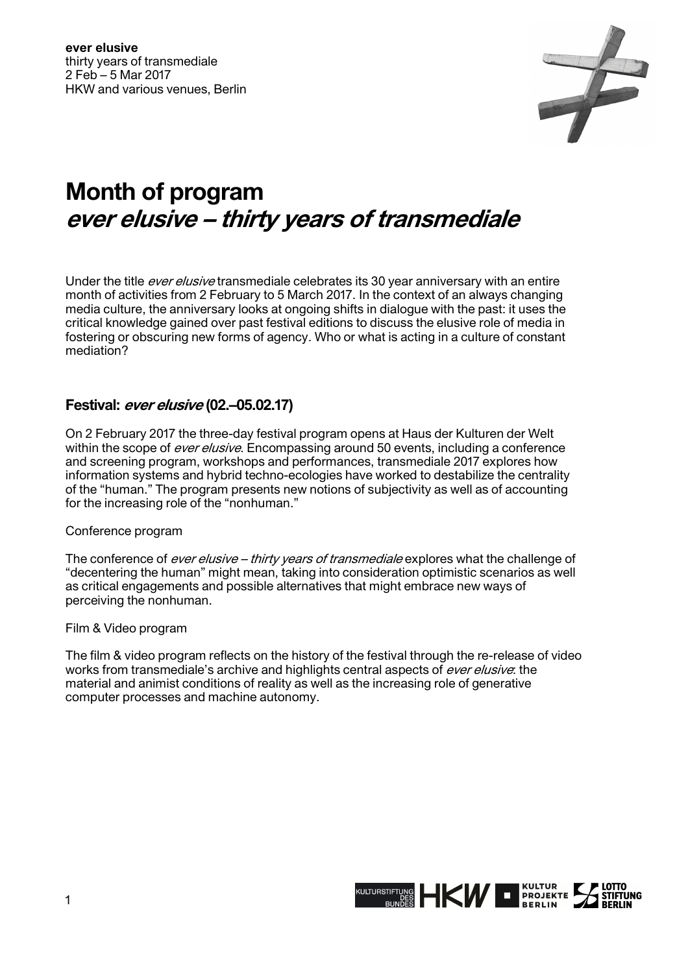

# **Month of program ever elusive – thirty years of transmediale**

Under the title *ever elusive* transmediale celebrates its 30 year anniversary with an entire month of activities from 2 February to 5 March 2017. In the context of an always changing media culture, the anniversary looks at ongoing shifts in dialogue with the past: it uses the critical knowledge gained over past festival editions to discuss the elusive role of media in fostering or obscuring new forms of agency. Who or what is acting in a culture of constant mediation?

## **Festival: ever elusive (02.–05.02.17)**

On 2 February 2017 the three-day festival program opens at Haus der Kulturen der Welt within the scope of ever elusive. Encompassing around 50 events, including a conference and screening program, workshops and performances, transmediale 2017 explores how information systems and hybrid techno-ecologies have worked to destabilize the centrality of the "human." The program presents new notions of subjectivity as well as of accounting for the increasing role of the "nonhuman."

## Conference program

The conference of ever elusive – thirty years of transmediale explores what the challenge of "decentering the human" might mean, taking into consideration optimistic scenarios as well as critical engagements and possible alternatives that might embrace new ways of perceiving the nonhuman.

#### Film & Video program

The film & video program reflects on the history of the festival through the re-release of video works from transmediale's archive and highlights central aspects of ever elusive: the material and animist conditions of reality as well as the increasing role of generative computer processes and machine autonomy.

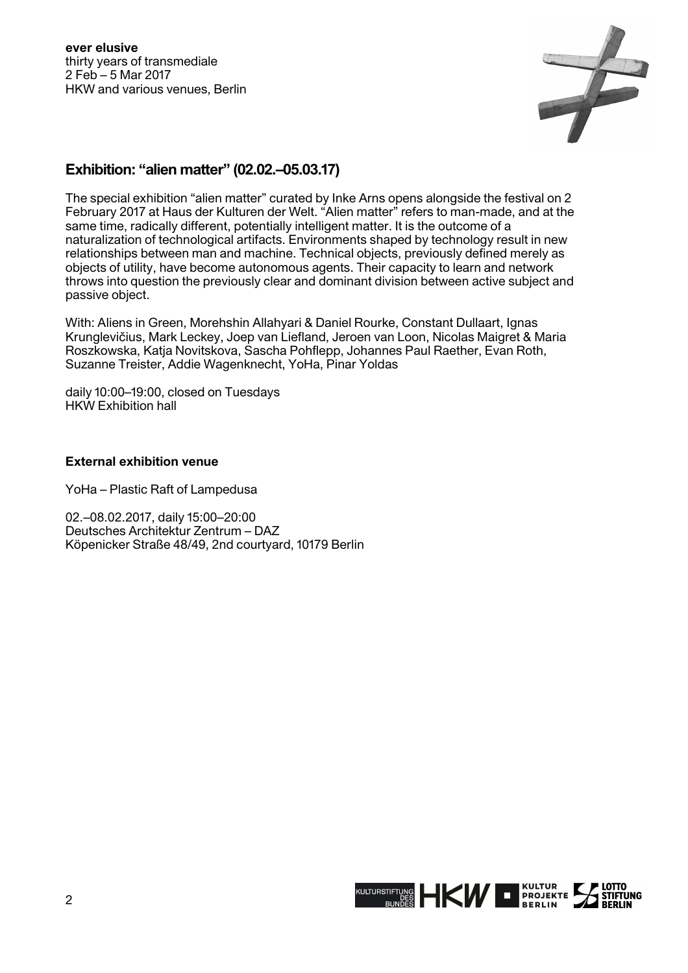**ever elusive** thirty years of transmediale 2 Feb – 5 Mar 2017 HKW and various venues, Berlin



# **Exhibition: "alien matter" (02.02.–05.03.17)**

The special exhibition "alien matter" curated by Inke Arns opens alongside the festival on 2 February 2017 at Haus der Kulturen der Welt. "Alien matter" refers to man-made, and at the same time, radically different, potentially intelligent matter. It is the outcome of a naturalization of technological artifacts. Environments shaped by technology result in new relationships between man and machine. Technical objects, previously defined merely as objects of utility, have become autonomous agents. Their capacity to learn and network throws into question the previously clear and dominant division between active subject and passive object.

With: Aliens in Green, Morehshin Allahyari & Daniel Rourke, Constant Dullaart, Ignas Krunglevičius, Mark Leckey, Joep van Liefland, Jeroen van Loon, Nicolas Maigret & Maria Roszkowska, Katja Novitskova, Sascha Pohflepp, Johannes Paul Raether, Evan Roth, Suzanne Treister, Addie Wagenknecht, YoHa, Pinar Yoldas

daily 10:00–19:00, closed on Tuesdays HKW Exhibition hall

## **External exhibition venue**

YoHa – Plastic Raft of Lampedusa

02.–08.02.2017, daily 15:00–20:00 Deutsches Architektur Zentrum – DAZ Köpenicker Straße 48/49, 2nd courtyard, 10179 Berlin

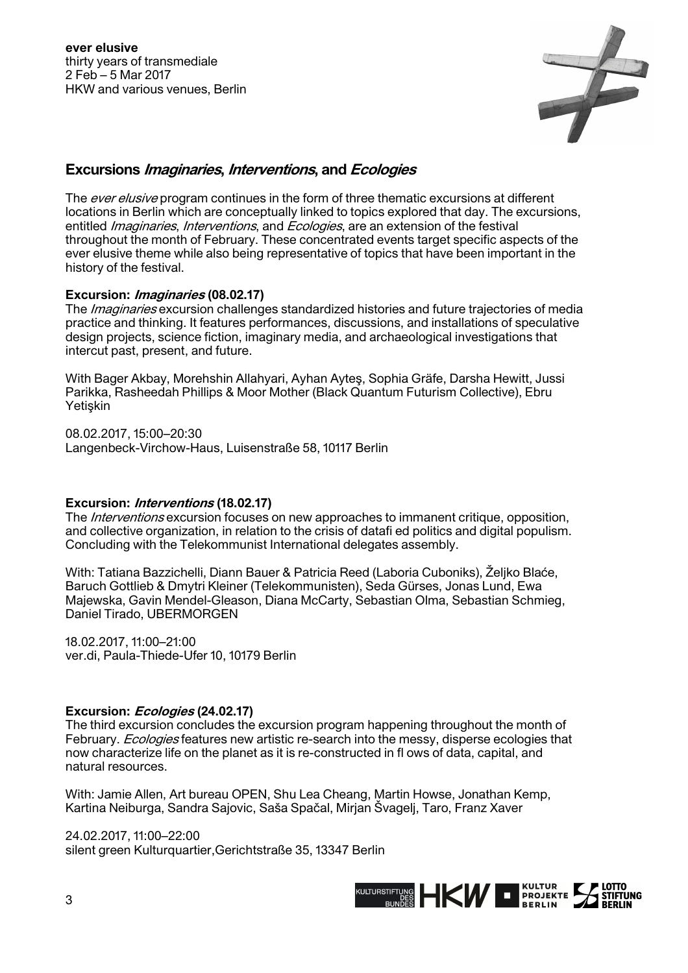

## **Excursions Imaginaries, Interventions, and Ecologies**

The *ever elusive* program continues in the form of three thematic excursions at different locations in Berlin which are conceptually linked to topics explored that day. The excursions, entitled *Imaginaries, Interventions*, and *Ecologies*, are an extension of the festival throughout the month of February. These concentrated events target specific aspects of the ever elusive theme while also being representative of topics that have been important in the history of the festival.

## **Excursion: Imaginaries (08.02.17)**

The Imaginaries excursion challenges standardized histories and future trajectories of media practice and thinking. It features performances, discussions, and installations of speculative design projects, science fiction, imaginary media, and archaeological investigations that intercut past, present, and future.

With Bager Akbay, Morehshin Allahyari, Ayhan Ayteş, Sophia Gräfe, Darsha Hewitt, Jussi Parikka, Rasheedah Phillips & Moor Mother (Black Quantum Futurism Collective), Ebru Yetişkin

08.02.2017, 15:00–20:30 Langenbeck-Virchow-Haus, Luisenstraße 58, 10117 Berlin

## **Excursion: Interventions (18.02.17)**

The *Interventions* excursion focuses on new approaches to immanent critique, opposition, and collective organization, in relation to the crisis of datafi ed politics and digital populism. Concluding with the Telekommunist International delegates assembly.

With: Tatiana Bazzichelli, Diann Bauer & Patricia Reed (Laboria Cuboniks), Željko Blaće, Baruch Gottlieb & Dmytri Kleiner (Telekommunisten), Seda Gürses, Jonas Lund, Ewa Majewska, Gavin Mendel-Gleason, Diana McCarty, Sebastian Olma, Sebastian Schmieg, Daniel Tirado, UBERMORGEN

18.02.2017, 11:00–21:00 ver.di, Paula-Thiede-Ufer 10, 10179 Berlin

## **Excursion: Ecologies (24.02.17)**

The third excursion concludes the excursion program happening throughout the month of February. *Ecologies* features new artistic re-search into the messy, disperse ecologies that now characterize life on the planet as it is re-constructed in fl ows of data, capital, and natural resources.

With: Jamie Allen, Art bureau OPEN, Shu Lea Cheang, Martin Howse, Jonathan Kemp, Kartina Neiburga, Sandra Sajovic, Saša Spačal, Mirjan Švagelj, Taro, Franz Xaver

24.02.2017, 11:00–22:00 silent green Kulturquartier,Gerichtstraße 35, 13347 Berlin

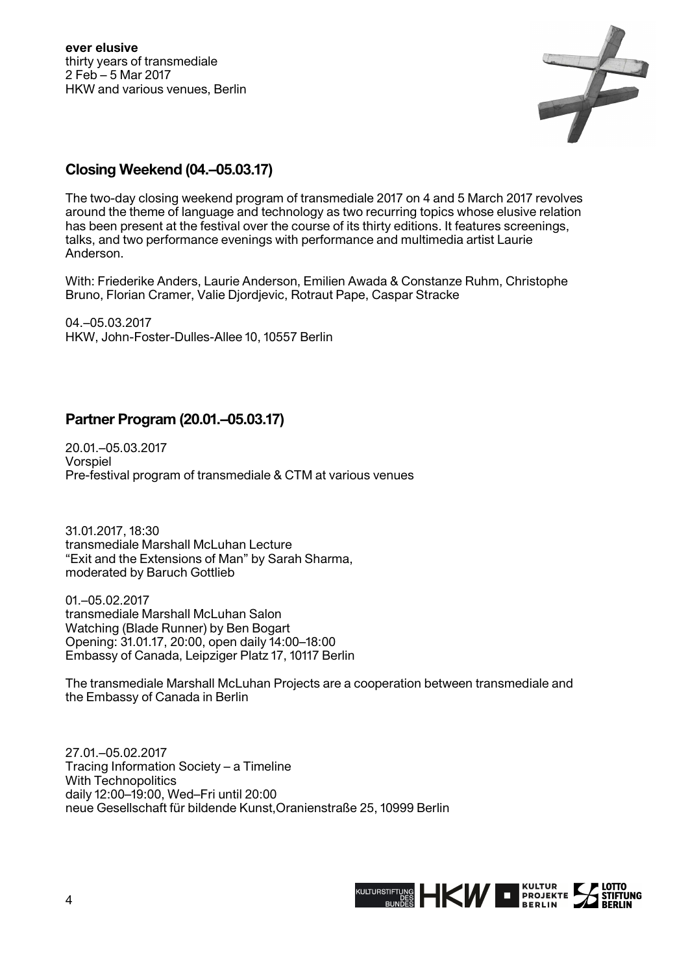**ever elusive** thirty years of transmediale 2 Feb – 5 Mar 2017 HKW and various venues, Berlin



# **Closing Weekend (04.–05.03.17)**

The two-day closing weekend program of transmediale 2017 on 4 and 5 March 2017 revolves around the theme of language and technology as two recurring topics whose elusive relation has been present at the festival over the course of its thirty editions. It features screenings, talks, and two performance evenings with performance and multimedia artist Laurie Anderson.

With: Friederike Anders, Laurie Anderson, Emilien Awada & Constanze Ruhm, Christophe Bruno, Florian Cramer, Valie Djordjevic, Rotraut Pape, Caspar Stracke

04.–05.03.2017 HKW, John-Foster-Dulles-Allee 10, 10557 Berlin

# **Partner Program (20.01.–05.03.17)**

20.01.–05.03.2017 Vorspiel Pre-festival program of transmediale & CTM at various venues

31.01.2017, 18:30 transmediale Marshall McLuhan Lecture "Exit and the Extensions of Man" by Sarah Sharma, moderated by Baruch Gottlieb

01.–05.02.2017 transmediale Marshall McLuhan Salon Watching (Blade Runner) by Ben Bogart Opening: 31.01.17, 20:00, open daily 14:00–18:00 Embassy of Canada, Leipziger Platz 17, 10117 Berlin

The transmediale Marshall McLuhan Projects are a cooperation between transmediale and the Embassy of Canada in Berlin

27.01.–05.02.2017 Tracing Information Society – a Timeline With Technopolitics daily 12:00–19:00, Wed–Fri until 20:00 neue Gesellschaft für bildende Kunst,Oranienstraße 25, 10999 Berlin